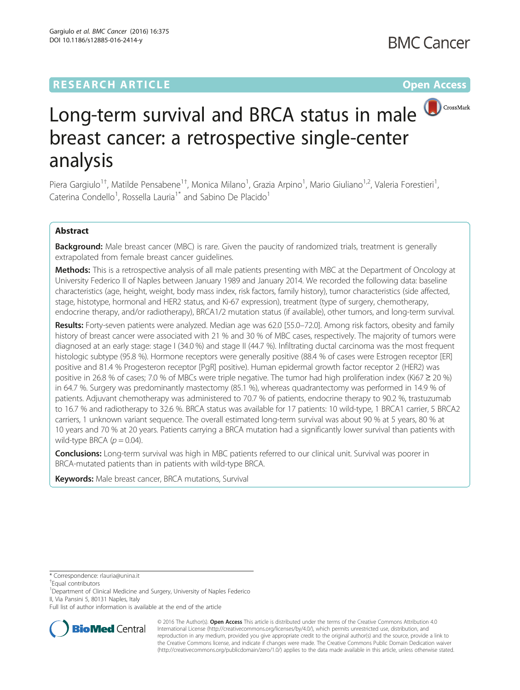## **RESEARCH ARTICLE Example 2014 12:30 The Contract of Contract ACCESS**



# Long-term survival and BRCA status in male **D**CrossMark breast cancer: a retrospective single-center analysis

Piera Gargiulo<sup>1†</sup>, Matilde Pensabene<sup>1†</sup>, Monica Milano<sup>1</sup>, Grazia Arpino<sup>1</sup>, Mario Giuliano<sup>1,2</sup>, Valeria Forestieri<sup>1</sup> , Caterina Condello<sup>1</sup>, Rossella Lauria<sup>1\*</sup> and Sabino De Placido<sup>1</sup>

## Abstract

Background: Male breast cancer (MBC) is rare. Given the paucity of randomized trials, treatment is generally extrapolated from female breast cancer guidelines.

Methods: This is a retrospective analysis of all male patients presenting with MBC at the Department of Oncology at University Federico II of Naples between January 1989 and January 2014. We recorded the following data: baseline characteristics (age, height, weight, body mass index, risk factors, family history), tumor characteristics (side affected, stage, histotype, hormonal and HER2 status, and Ki-67 expression), treatment (type of surgery, chemotherapy, endocrine therapy, and/or radiotherapy), BRCA1/2 mutation status (if available), other tumors, and long-term survival.

Results: Forty-seven patients were analyzed. Median age was 62.0 [55.0–72.0]. Among risk factors, obesity and family history of breast cancer were associated with 21 % and 30 % of MBC cases, respectively. The majority of tumors were diagnosed at an early stage: stage I (34.0 %) and stage II (44.7 %). Infiltrating ductal carcinoma was the most frequent histologic subtype (95.8 %). Hormone receptors were generally positive (88.4 % of cases were Estrogen receptor [ER] positive and 81.4 % Progesteron receptor [PgR] positive). Human epidermal growth factor receptor 2 (HER2) was positive in 26.8 % of cases; 7.0 % of MBCs were triple negative. The tumor had high proliferation index (Ki67 ≥ 20 %) in 64.7 %. Surgery was predominantly mastectomy (85.1 %), whereas quadrantectomy was performed in 14.9 % of patients. Adjuvant chemotherapy was administered to 70.7 % of patients, endocrine therapy to 90.2 %, trastuzumab to 16.7 % and radiotherapy to 32.6 %. BRCA status was available for 17 patients: 10 wild-type, 1 BRCA1 carrier, 5 BRCA2 carriers, 1 unknown variant sequence. The overall estimated long-term survival was about 90 % at 5 years, 80 % at 10 years and 70 % at 20 years. Patients carrying a BRCA mutation had a significantly lower survival than patients with wild-type BRCA  $(p = 0.04)$ .

**Conclusions:** Long-term survival was high in MBC patients referred to our clinical unit. Survival was poorer in BRCA-mutated patients than in patients with wild-type BRCA.

**Keywords:** Male breast cancer, BRCA mutations, Survival

\* Correspondence: [rlauria@unina.it](mailto:rlauria@unina.it) †

<sup>1</sup>Department of Clinical Medicine and Surgery, University of Naples Federico II, Via Pansini 5, 80131 Naples, Italy

Full list of author information is available at the end of the article



© 2016 The Author(s). Open Access This article is distributed under the terms of the Creative Commons Attribution 4.0 International License [\(http://creativecommons.org/licenses/by/4.0/](http://creativecommons.org/licenses/by/4.0/)), which permits unrestricted use, distribution, and reproduction in any medium, provided you give appropriate credit to the original author(s) and the source, provide a link to the Creative Commons license, and indicate if changes were made. The Creative Commons Public Domain Dedication waiver [\(http://creativecommons.org/publicdomain/zero/1.0/](http://creativecommons.org/publicdomain/zero/1.0/)) applies to the data made available in this article, unless otherwise stated.

Equal contributors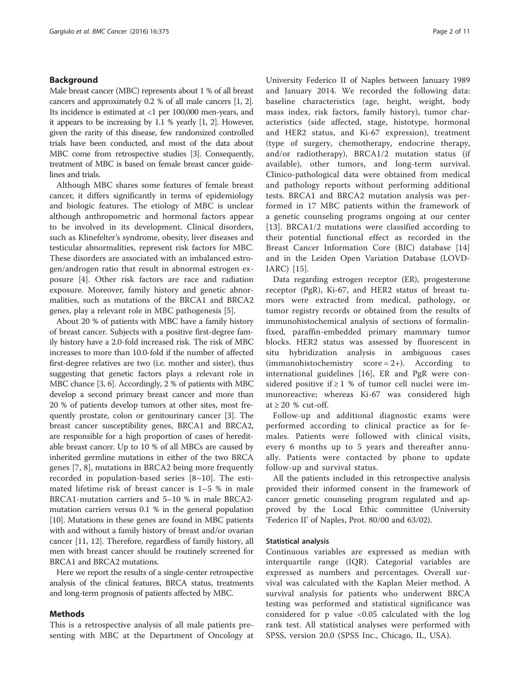#### Background

Male breast cancer (MBC) represents about 1 % of all breast cancers and approximately 0.2 % of all male cancers [[1](#page-9-0), [2](#page-9-0)]. Its incidence is estimated at <1 per 100,000 men-years, and it appears to be increasing by 1.1 % yearly [\[1, 2\]](#page-9-0). However, given the rarity of this disease, few randomized controlled trials have been conducted, and most of the data about MBC come from retrospective studies [\[3\]](#page-9-0). Consequently, treatment of MBC is based on female breast cancer guidelines and trials.

Although MBC shares some features of female breast cancer, it differs significantly in terms of epidemiology and biologic features. The etiology of MBC is unclear although anthropometric and hormonal factors appear to be involved in its development. Clinical disorders, such as Klinefelter's syndrome, obesity, liver diseases and testicular abnormalities, represent risk factors for MBC. These disorders are associated with an imbalanced estrogen/androgen ratio that result in abnormal estrogen exposure [\[4\]](#page-9-0). Other risk factors are race and radiation exposure. Moreover, family history and genetic abnormalities, such as mutations of the BRCA1 and BRCA2 genes, play a relevant role in MBC pathogenesis [[5\]](#page-9-0).

About 20 % of patients with MBC have a family history of breast cancer. Subjects with a positive first-degree family history have a 2.0-fold increased risk. The risk of MBC increases to more than 10.0-fold if the number of affected first-degree relatives are two (i.e. mother and sister), thus suggesting that genetic factors plays a relevant role in MBC chance [[3, 6](#page-9-0)]. Accordingly, 2 % of patients with MBC develop a second primary breast cancer and more than 20 % of patients develop tumors at other sites, most frequently prostate, colon or genitourinary cancer [\[3](#page-9-0)]. The breast cancer susceptibility genes, BRCA1 and BRCA2, are responsible for a high proportion of cases of hereditable breast cancer. Up to 10 % of all MBCs are caused by inherited germline mutations in either of the two BRCA genes [[7, 8\]](#page-9-0), mutations in BRCA2 being more frequently recorded in population-based series [[8](#page-9-0)–[10\]](#page-9-0). The estimated lifetime risk of breast cancer is 1–5 % in male BRCA1-mutation carriers and 5–10 % in male BRCA2 mutation carriers versus 0.1 % in the general population [[10](#page-9-0)]. Mutations in these genes are found in MBC patients with and without a family history of breast and/or ovarian cancer [\[11, 12\]](#page-9-0). Therefore, regardless of family history, all men with breast cancer should be routinely screened for BRCA1 and BRCA2 mutations.

Here we report the results of a single-center retrospective analysis of the clinical features, BRCA status, treatments and long-term prognosis of patients affected by MBC.

#### Methods

This is a retrospective analysis of all male patients presenting with MBC at the Department of Oncology at

University Federico II of Naples between January 1989 and January 2014. We recorded the following data: baseline characteristics (age, height, weight, body mass index, risk factors, family history), tumor characteristics (side affected, stage, histotype, hormonal and HER2 status, and Ki-67 expression), treatment (type of surgery, chemotherapy, endocrine therapy, and/or radiotherapy), BRCA1/2 mutation status (if available), other tumors, and long-term survival. Clinico-pathological data were obtained from medical and pathology reports without performing additional tests. BRCA1 and BRCA2 mutation analysis was performed in 17 MBC patients within the framework of a genetic counseling programs ongoing at our center [[13\]](#page-9-0). BRCA1/2 mutations were classified according to their potential functional effect as recorded in the Breast Cancer Information Core (BIC) database [\[14](#page-9-0)] and in the Leiden Open Variation Database (LOVD-IARC) [[15\]](#page-9-0).

Data regarding estrogen receptor (ER), progesterone receptor (PgR), Ki-67, and HER2 status of breast tumors were extracted from medical, pathology, or tumor registry records or obtained from the results of immunohistochemical analysis of sections of formalinfixed, paraffin-embedded primary mammary tumor blocks. HER2 status was assessed by fluorescent in situ hybridization analysis in ambiguous cases  $(immunohistochemistry score = 2+).$  According to international guidelines [[16\]](#page-9-0), ER and PgR were considered positive if  $\geq 1$  % of tumor cell nuclei were immunoreactive; whereas Ki-67 was considered high at  $\geq 20$  % cut-off.

Follow-up and additional diagnostic exams were performed according to clinical practice as for females. Patients were followed with clinical visits, every 6 months up to 5 years and thereafter annually. Patients were contacted by phone to update follow-up and survival status.

All the patients included in this retrospective analysis provided their informed consent in the framework of cancer genetic counseling program regulated and approved by the Local Ethic committee (University 'Federico II' of Naples, Prot. 80/00 and 63/02).

#### Statistical analysis

Continuous variables are expressed as median with interquartile range (IQR). Categorial variables are expressed as numbers and percentages. Overall survival was calculated with the Kaplan Meier method. A survival analysis for patients who underwent BRCA testing was performed and statistical significance was considered for p value <0.05 calculated with the log rank test. All statistical analyses were performed with SPSS, version 20.0 (SPSS Inc., Chicago, IL, USA).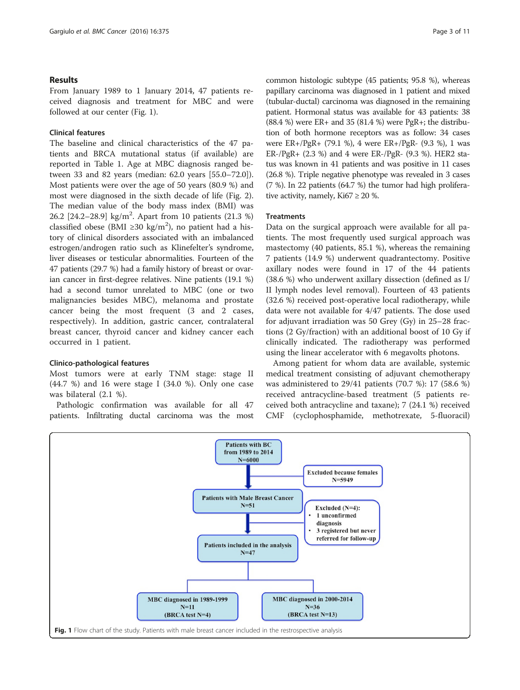#### <span id="page-2-0"></span>Results

From January 1989 to 1 January 2014, 47 patients received diagnosis and treatment for MBC and were followed at our center (Fig. 1).

#### Clinical features

The baseline and clinical characteristics of the 47 patients and BRCA mutational status (if available) are reported in Table [1](#page-3-0). Age at MBC diagnosis ranged between 33 and 82 years (median: 62.0 years [55.0–72.0]). Most patients were over the age of 50 years (80.9 %) and most were diagnosed in the sixth decade of life (Fig. [2](#page-4-0)). The median value of the body mass index (BMI) was 26.2 [24.2-28.9] kg/m<sup>2</sup>. Apart from 10 patients (21.3 %) classified obese (BMI ≥30 kg/m<sup>2</sup>), no patient had a history of clinical disorders associated with an imbalanced estrogen/androgen ratio such as Klinefelter's syndrome, liver diseases or testicular abnormalities. Fourteen of the 47 patients (29.7 %) had a family history of breast or ovarian cancer in first-degree relatives. Nine patients (19.1 %) had a second tumor unrelated to MBC (one or two malignancies besides MBC), melanoma and prostate cancer being the most frequent (3 and 2 cases, respectively). In addition, gastric cancer, contralateral breast cancer, thyroid cancer and kidney cancer each occurred in 1 patient.

### Clinico-pathological features

Most tumors were at early TNM stage: stage II (44.7 %) and 16 were stage I (34.0 %). Only one case was bilateral (2.1 %).

Pathologic confirmation was available for all 47 patients. Infiltrating ductal carcinoma was the most common histologic subtype (45 patients; 95.8 %), whereas papillary carcinoma was diagnosed in 1 patient and mixed (tubular-ductal) carcinoma was diagnosed in the remaining patient. Hormonal status was available for 43 patients: 38 (88.4 %) were ER+ and 35 (81.4 %) were PgR+; the distribution of both hormone receptors was as follow: 34 cases were ER+/PgR+ (79.1 %), 4 were ER+/PgR- (9.3 %), 1 was  $ER-PgR+$  (2.3 %) and 4 were  $ER-PgR-$  (9.3 %). HER2 status was known in 41 patients and was positive in 11 cases (26.8 %). Triple negative phenotype was revealed in 3 cases (7 %). In 22 patients (64.7 %) the tumor had high proliferative activity, namely,  $Ki67 \geq 20$  %.

#### **Treatments**

Data on the surgical approach were available for all patients. The most frequently used surgical approach was mastectomy (40 patients, 85.1 %), whereas the remaining 7 patients (14.9 %) underwent quadrantectomy. Positive axillary nodes were found in 17 of the 44 patients (38.6 %) who underwent axillary dissection (defined as I/ II lymph nodes level removal). Fourteen of 43 patients (32.6 %) received post-operative local radiotherapy, while data were not available for 4/47 patients. The dose used for adjuvant irradiation was 50 Grey (Gy) in 25–28 fractions (2 Gy/fraction) with an additional boost of 10 Gy if clinically indicated. The radiotherapy was performed using the linear accelerator with 6 megavolts photons.

Among patient for whom data are available, systemic medical treatment consisting of adjuvant chemotherapy was administered to 29/41 patients (70.7 %): 17 (58.6 %) received antracycline-based treatment (5 patients received both antracycline and taxane); 7 (24.1 %) received CMF (cyclophosphamide, methotrexate, 5-fluoracil)

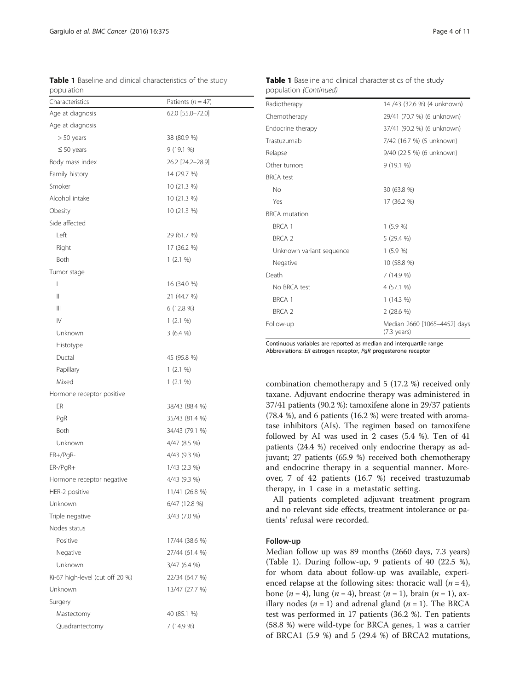<span id="page-3-0"></span>Table 1 Baseline and clinical characteristics of the study population

| Characteristics                 | Patients $(n = 47)$ |
|---------------------------------|---------------------|
| Age at diagnosis                | 62.0 [55.0-72.0]    |
| Age at diagnosis                |                     |
| $> 50$ years                    | 38 (80.9 %)         |
| $\leq$ 50 years                 | 9(19.1%             |
| Body mass index                 | 26.2 [24.2-28.9]    |
| Family history                  | 14 (29.7 %)         |
| Smoker                          | 10 (21.3 %)         |
| Alcohol intake                  | 10 (21.3 %)         |
| Obesity                         | 10 (21.3 %)         |
| Side affected                   |                     |
| Left                            | 29 (61.7 %)         |
| Right                           | 17 (36.2 %)         |
| Both                            | 1(2.1%              |
| Tumor stage                     |                     |
| I                               | 16 (34.0 %)         |
| Ш                               | 21 (44.7 %)         |
| Ш                               | 6 (12.8 %)          |
| $\mathsf{IV}$                   | 1(2.1%              |
| Unknown                         | 3(6.4%              |
| Histotype                       |                     |
| Ductal                          | 45 (95.8 %)         |
| Papillary                       | 1(2.1 %)            |
| Mixed                           | 1(2.1%              |
| Hormone receptor positive       |                     |
| ER                              | 38/43 (88.4 %)      |
| PgR                             | 35/43 (81.4 %)      |
| Both                            | 34/43 (79.1 %)      |
| Unknown                         | 4/47 (8.5 %)        |
| $ER+/PqR-$                      | 4/43 (9.3 %)        |
| ER-/PgR+                        | $1/43$ (2.3 %)      |
| Hormone receptor negative       | 4/43 (9.3 %)        |
| HER-2 positive                  | 11/41 (26.8 %)      |
| Unknown                         | 6/47 (12.8 %)       |
| Triple negative                 | 3/43 (7.0 %)        |
| Nodes status                    |                     |
| Positive                        | 17/44 (38.6 %)      |
| Negative                        | 27/44 (61.4 %)      |
| Unknown                         | 3/47 (6.4 %)        |
| Ki-67 high-level (cut off 20 %) | 22/34 (64.7 %)      |
| Unknown                         | 13/47 (27.7 %)      |
| Surgery                         |                     |
| Mastectomy                      | 40 (85.1 %)         |
| Quadrantectomy                  | 7 (14.9 %)          |

Table 1 Baseline and clinical characteristics of the study population (Continued)

| Radiotherapy             | 14 /43 (32.6 %) (4 unknown)                           |  |  |  |  |
|--------------------------|-------------------------------------------------------|--|--|--|--|
| Chemotherapy             | 29/41 (70.7 %) (6 unknown)                            |  |  |  |  |
| Endocrine therapy        | 37/41 (90.2 %) (6 unknown)                            |  |  |  |  |
| Trastuzumab              | 7/42 (16.7 %) (5 unknown)                             |  |  |  |  |
| Relapse                  | 9/40 (22.5 %) (6 unknown)                             |  |  |  |  |
| Other tumors             | 9(19.1%                                               |  |  |  |  |
| <b>BRCA</b> test         |                                                       |  |  |  |  |
| No                       | 30 (63.8 %)                                           |  |  |  |  |
| Yes                      | 17 (36.2 %)                                           |  |  |  |  |
| <b>BRCA</b> mutation     |                                                       |  |  |  |  |
| BRCA 1                   | 1(5.9%                                                |  |  |  |  |
| <b>BRCA 2</b>            | 5 (29.4 %)                                            |  |  |  |  |
| Unknown variant sequence | 1(5.9%                                                |  |  |  |  |
| Negative                 | 10 (58.8 %)                                           |  |  |  |  |
| Death                    | 7 (14.9 %)                                            |  |  |  |  |
| No BRCA test             | 4 (57.1 %)                                            |  |  |  |  |
| <b>BRCA 1</b>            | $1(14.3\%)$                                           |  |  |  |  |
| <b>BRCA 2</b>            | 2(28.6%                                               |  |  |  |  |
| Follow-up                | Median 2660 [1065-4452] days<br>$(7.3 \text{ years})$ |  |  |  |  |

Continuous variables are reported as median and interquartile range Abbreviations: ER estrogen receptor, PgR progesterone receptor

combination chemotherapy and 5 (17.2 %) received only taxane. Adjuvant endocrine therapy was administered in 37/41 patients (90.2 %): tamoxifene alone in 29/37 patients (78.4 %), and 6 patients (16.2 %) were treated with aromatase inhibitors (AIs). The regimen based on tamoxifene followed by AI was used in 2 cases (5.4 %). Ten of 41 patients (24.4 %) received only endocrine therapy as adjuvant; 27 patients (65.9 %) received both chemotherapy and endocrine therapy in a sequential manner. Moreover, 7 of 42 patients (16.7 %) received trastuzumab therapy, in 1 case in a metastatic setting.

All patients completed adjuvant treatment program and no relevant side effects, treatment intolerance or patients' refusal were recorded.

#### Follow-up

Median follow up was 89 months (2660 days, 7.3 years) (Table 1). During follow-up, 9 patients of 40 (22.5 %), for whom data about follow-up was available, experienced relapse at the following sites: thoracic wall  $(n = 4)$ , bone (*n* = 4), lung (*n* = 4), breast (*n* = 1), brain (*n* = 1), axillary nodes ( $n = 1$ ) and adrenal gland ( $n = 1$ ). The BRCA test was performed in 17 patients (36.2 %). Ten patients (58.8 %) were wild-type for BRCA genes, 1 was a carrier of BRCA1 (5.9 %) and 5 (29.4 %) of BRCA2 mutations,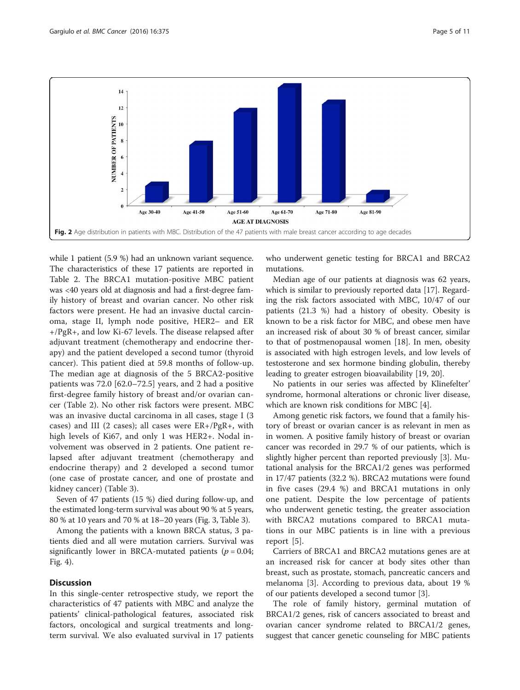<span id="page-4-0"></span>

while 1 patient (5.9 %) had an unknown variant sequence. The characteristics of these 17 patients are reported in Table [2.](#page-5-0) The BRCA1 mutation-positive MBC patient was <40 years old at diagnosis and had a first-degree family history of breast and ovarian cancer. No other risk factors were present. He had an invasive ductal carcinoma, stage II, lymph node positive, HER2– and ER +/PgR+, and low Ki-67 levels. The disease relapsed after adjuvant treatment (chemotherapy and endocrine therapy) and the patient developed a second tumor (thyroid cancer). This patient died at 59.8 months of follow-up. The median age at diagnosis of the 5 BRCA2-positive patients was 72.0 [62.0–72.5] years, and 2 had a positive first-degree family history of breast and/or ovarian cancer (Table [2](#page-5-0)). No other risk factors were present. MBC was an invasive ductal carcinoma in all cases, stage I (3 cases) and III (2 cases); all cases were  $ER+/PgR+,$  with high levels of Ki67, and only 1 was HER2+. Nodal involvement was observed in 2 patients. One patient relapsed after adjuvant treatment (chemotherapy and endocrine therapy) and 2 developed a second tumor (one case of prostate cancer, and one of prostate and kidney cancer) (Table [3](#page-6-0)).

Seven of 47 patients (15 %) died during follow-up, and the estimated long-term survival was about 90 % at 5 years, 80 % at 10 years and 70 % at 18–20 years (Fig. [3](#page-6-0), Table [3](#page-6-0)).

Among the patients with a known BRCA status, 3 patients died and all were mutation carriers. Survival was significantly lower in BRCA-mutated patients ( $p = 0.04$ ; Fig. [4](#page-7-0)).

#### **Discussion**

In this single-center retrospective study, we report the characteristics of 47 patients with MBC and analyze the patients' clinical-pathological features, associated risk factors, oncological and surgical treatments and longterm survival. We also evaluated survival in 17 patients who underwent genetic testing for BRCA1 and BRCA2 mutations.

Median age of our patients at diagnosis was 62 years, which is similar to previously reported data [[17](#page-9-0)]. Regarding the risk factors associated with MBC, 10/47 of our patients (21.3 %) had a history of obesity. Obesity is known to be a risk factor for MBC, and obese men have an increased risk of about 30 % of breast cancer, similar to that of postmenopausal women [[18\]](#page-9-0). In men, obesity is associated with high estrogen levels, and low levels of testosterone and sex hormone binding globulin, thereby leading to greater estrogen bioavailability [\[19, 20\]](#page-9-0).

No patients in our series was affected by Klinefelter' syndrome, hormonal alterations or chronic liver disease, which are known risk conditions for MBC [\[4](#page-9-0)].

Among genetic risk factors, we found that a family history of breast or ovarian cancer is as relevant in men as in women. A positive family history of breast or ovarian cancer was recorded in 29.7 % of our patients, which is slightly higher percent than reported previously [\[3](#page-9-0)]. Mutational analysis for the BRCA1/2 genes was performed in 17/47 patients (32.2 %). BRCA2 mutations were found in five cases (29.4 %) and BRCA1 mutations in only one patient. Despite the low percentage of patients who underwent genetic testing, the greater association with BRCA2 mutations compared to BRCA1 mutations in our MBC patients is in line with a previous report [[5\]](#page-9-0).

Carriers of BRCA1 and BRCA2 mutations genes are at an increased risk for cancer at body sites other than breast, such as prostate, stomach, pancreatic cancers and melanoma [[3\]](#page-9-0). According to previous data, about 19 % of our patients developed a second tumor [\[3](#page-9-0)].

The role of family history, germinal mutation of BRCA1/2 genes, risk of cancers associated to breast and ovarian cancer syndrome related to BRCA1/2 genes, suggest that cancer genetic counseling for MBC patients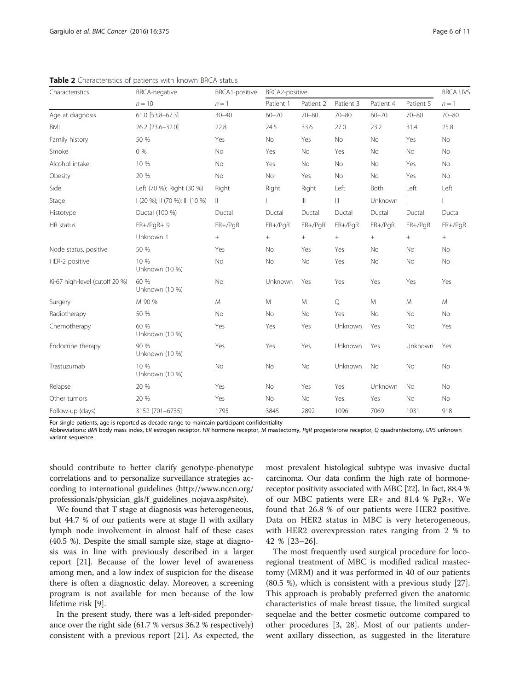| Characteristics                | <b>BRCA-negative</b><br>$n = 10$ | <b>BRCA1-positive</b><br>$n=1$ | BRCA2-positive |              |               |                  |           | <b>BRCA UVS</b> |
|--------------------------------|----------------------------------|--------------------------------|----------------|--------------|---------------|------------------|-----------|-----------------|
|                                |                                  |                                | Patient 1      | Patient 2    | Patient 3     | Patient 4        | Patient 5 | $n = 1$         |
| Age at diagnosis               | 61.0 [53.8-67.3]                 | $30 - 40$                      | $60 - 70$      | $70 - 80$    | $70 - 80$     | $60 - 70$        | $70 - 80$ | $70 - 80$       |
| <b>BMI</b>                     | 26.2 [23.6-32.0]                 | 22.8                           | 24.5           | 33.6         | 27.0          | 23.2             | 31.4      | 25.8            |
| Family history                 | 50 %                             | Yes                            | <b>No</b>      | Yes          | No            | No               | Yes       | No              |
| Smoke                          | 0%                               | No                             | Yes            | No           | Yes           | No               | No        | No              |
| Alcohol intake                 | 10 %                             | No                             | Yes            | No           | No            | No               | Yes       | No              |
| Obesity                        | 20 %                             | No                             | No             | Yes          | No            | No               | Yes       | No              |
| Side                           | Left (70 %); Right (30 %)        | Right                          | Right          | Right        | Left          | Both             | Left      | Left            |
| Stage                          | I (20 %); II (70 %); III (10 %)  | $\parallel$                    |                | $\mathbb{H}$ | $\  \cdot \ $ | Unknown          |           |                 |
| Histotype                      | Ductal (100 %)                   | Ductal                         | Ductal         | Ductal       | Ductal        | Ductal           | Ductal    | Ductal          |
| HR status                      | $ER+/PQR+9$                      | $ER+/PqR$                      | $ER+/PqR$      | $ER+/PqR$    | $ER+/PqR$     | $ER+/PqR$        | $ER+/PqR$ | $ER+/PqR$       |
|                                | Unknown 1                        | $^{+}$                         | $+$            | $^{+}$       | $^{+}$        | $\boldsymbol{+}$ | $+$       | $+$             |
| Node status, positive          | 50 %                             | Yes                            | No             | Yes          | Yes           | No               | No        | No              |
| HER-2 positive                 | 10 %<br>Unknown (10 %)           | No                             | No             | No           | Yes           | No               | No        | No              |
| Ki-67 high-level (cutoff 20 %) | 60 %<br>Unknown (10 %)           | No                             | Unknown        | Yes          | Yes           | Yes              | Yes       | Yes             |
| Surgery                        | M 90 %                           | M                              | M              | M            | $\mathcal{Q}$ | M                | M         | M               |
| Radiotherapy                   | 50 %                             | <b>No</b>                      | <b>No</b>      | <b>No</b>    | Yes           | No               | No        | <b>No</b>       |
| Chemotherapy                   | 60 %<br>Unknown (10 %)           | Yes                            | Yes            | Yes          | Unknown       | Yes              | <b>No</b> | Yes             |
| Endocrine therapy              | 90 %<br>Unknown (10 %)           | Yes                            | Yes            | Yes          | Unknown       | Yes              | Unknown   | Yes             |
| Trastuzumab                    | 10 %<br>Unknown (10 %)           | No                             | No             | No           | Unknown       | No               | No        | No              |
| Relapse                        | 20 %                             | Yes                            | No             | Yes          | Yes           | Unknown          | No        | <b>No</b>       |
| Other tumors                   | 20 %                             | Yes                            | <b>No</b>      | <b>No</b>    | Yes           | Yes              | <b>No</b> | No              |
| Follow-up (days)               | 3152 [701-6735]                  | 1795                           | 3845           | 2892         | 1096          | 7069             | 1031      | 918             |

<span id="page-5-0"></span>Table 2 Characteristics of patients with known BRCA status

For single patients, age is reported as decade range to maintain participant confidentiality

Abbreviations: BMI body mass index, ER estrogen receptor, HR hormone receptor, M mastectomy, PgR progesterone receptor, Q quadrantectomy, UVS unknown variant sequence

should contribute to better clarify genotype-phenotype correlations and to personalize surveillance strategies according to international guidelines [\(http://www.nccn.org/](http://www.nccn.org/professionals/physician_gls/f_guidelines_nojava.asp#site) [professionals/physician\\_gls/f\\_guidelines\\_nojava.asp#site](http://www.nccn.org/professionals/physician_gls/f_guidelines_nojava.asp#site)).

We found that T stage at diagnosis was heterogeneous, but 44.7 % of our patients were at stage II with axillary lymph node involvement in almost half of these cases (40.5 %). Despite the small sample size, stage at diagnosis was in line with previously described in a larger report [[21\]](#page-9-0). Because of the lower level of awareness among men, and a low index of suspicion for the disease there is often a diagnostic delay. Moreover, a screening program is not available for men because of the low lifetime risk [\[9](#page-9-0)].

In the present study, there was a left-sided preponderance over the right side (61.7 % versus 36.2 % respectively) consistent with a previous report [\[21\]](#page-9-0). As expected, the most prevalent histological subtype was invasive ductal carcinoma. Our data confirm the high rate of hormonereceptor positivity associated with MBC [\[22\]](#page-9-0). In fact, 88.4 % of our MBC patients were ER+ and 81.4 % PgR+. We found that 26.8 % of our patients were HER2 positive. Data on HER2 status in MBC is very heterogeneous, with HER2 overexpression rates ranging from 2 % to 42 % [[23](#page-9-0)–[26\]](#page-9-0).

The most frequently used surgical procedure for locoregional treatment of MBC is modified radical mastectomy (MRM) and it was performed in 40 of our patients (80.5 %), which is consistent with a previous study [\[27](#page-9-0)]. This approach is probably preferred given the anatomic characteristics of male breast tissue, the limited surgical sequelae and the better cosmetic outcome compared to other procedures [\[3](#page-9-0), [28](#page-9-0)]. Most of our patients underwent axillary dissection, as suggested in the literature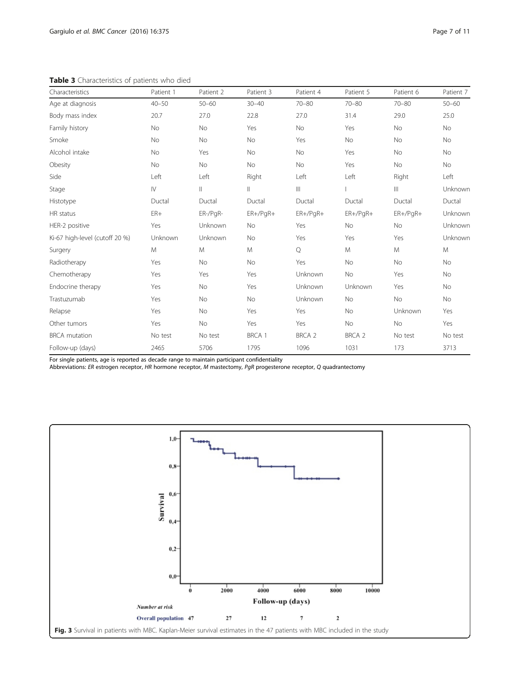<span id="page-6-0"></span>Table 3 Characteristics of patients who died

| Characteristics                | Patient 1              | Patient 2     | Patient 3   | Patient 4      | Patient 5  | Patient 6     | Patient 7 |
|--------------------------------|------------------------|---------------|-------------|----------------|------------|---------------|-----------|
| Age at diagnosis               | $40 - 50$              | $50 - 60$     | $30 - 40$   | $70 - 80$      | $70 - 80$  | $70 - 80$     | $50 - 60$ |
| Body mass index                | 20.7                   | 27.0          | 22.8        | 27.0           | 31.4       | 29.0          | 25.0      |
| Family history                 | No                     | No            | Yes         | No             | Yes        | No            | No        |
| Smoke                          | <b>No</b>              | <b>No</b>     | No          | Yes            | <b>No</b>  | No            | <b>No</b> |
| Alcohol intake                 | No                     | Yes           | No          | No             | Yes        | No            | No        |
| Obesity                        | No                     | No            | No          | No             | Yes        | No            | No        |
| Side                           | Left                   | Left          | Right       | Left           | Left       | Right         | Left      |
| Stage                          | $\mathsf{I}\mathsf{V}$ | $\mathbf{  }$ | $\parallel$ | $\  \cdot \ $  |            | $\  \cdot \ $ | Unknown   |
| Histotype                      | Ductal                 | Ductal        | Ductal      | Ductal         | Ductal     | Ductal        | Ductal    |
| HR status                      | ${\sf ER+}$            | ER-/PgR-      | $ER+/PqR+$  | $ER+/PgR+$     | $ER+/PgR+$ | $ER+/PgR+$    | Unknown   |
| HER-2 positive                 | Yes                    | Unknown       | No          | Yes            | <b>No</b>  | No            | Unknown   |
| Ki-67 high-level (cutoff 20 %) | Unknown                | Unknown       | No          | Yes            | Yes        | Yes           | Unknown   |
| Surgery                        | M                      | M             | M           | $\mathsf{Q}$   | M          | M             | M         |
| Radiotherapy                   | Yes                    | <b>No</b>     | No          | Yes            | No         | No            | <b>No</b> |
| Chemotherapy                   | Yes                    | Yes           | Yes         | <b>Unknown</b> | No         | Yes           | No        |
| Endocrine therapy              | Yes                    | No            | Yes         | <b>Unknown</b> | Unknown    | Yes           | No        |
| Trastuzumab                    | Yes                    | No            | No          | Unknown        | No         | No            | No        |
| Relapse                        | Yes                    | <b>No</b>     | Yes         | Yes            | <b>No</b>  | Unknown       | Yes       |
| Other tumors                   | Yes                    | No            | Yes         | Yes            | No         | No            | Yes       |
| <b>BRCA</b> mutation           | No test                | No test       | BRCA 1      | BRCA 2         | BRCA 2     | No test       | No test   |
| Follow-up (days)               | 2465                   | 5706          | 1795        | 1096           | 1031       | 173           | 3713      |

For single patients, age is reported as decade range to maintain participant confidentiality

Abbreviations: ER estrogen receptor, HR hormone receptor, M mastectomy, PgR progesterone receptor, Q quadrantectomy<br>.

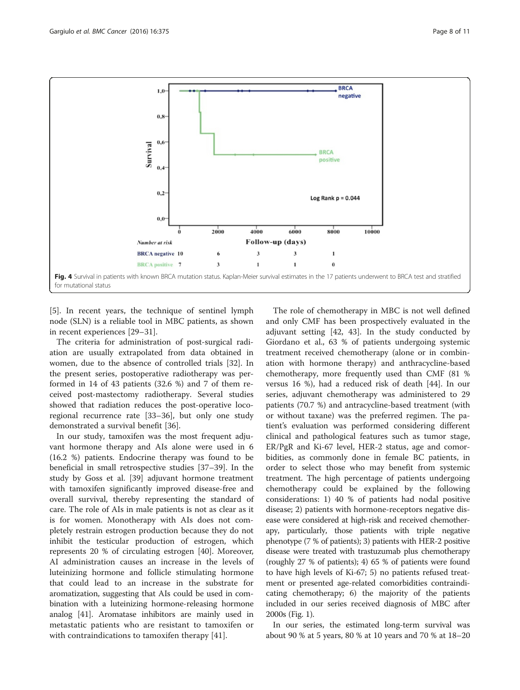<span id="page-7-0"></span>

[[5\]](#page-9-0). In recent years, the technique of sentinel lymph node (SLN) is a reliable tool in MBC patients, as shown in recent experiences [[29](#page-9-0)–[31](#page-9-0)].

The criteria for administration of post-surgical radiation are usually extrapolated from data obtained in women, due to the absence of controlled trials [[32](#page-9-0)]. In the present series, postoperative radiotherapy was performed in 14 of 43 patients (32.6 %) and 7 of them received post-mastectomy radiotherapy. Several studies showed that radiation reduces the post-operative locoregional recurrence rate [\[33](#page-9-0)–[36\]](#page-9-0), but only one study demonstrated a survival benefit [[36\]](#page-9-0).

In our study, tamoxifen was the most frequent adjuvant hormone therapy and AIs alone were used in 6 (16.2 %) patients. Endocrine therapy was found to be beneficial in small retrospective studies [[37](#page-9-0)–[39](#page-9-0)]. In the study by Goss et al. [\[39](#page-9-0)] adjuvant hormone treatment with tamoxifen significantly improved disease-free and overall survival, thereby representing the standard of care. The role of AIs in male patients is not as clear as it is for women. Monotherapy with AIs does not completely restrain estrogen production because they do not inhibit the testicular production of estrogen, which represents 20 % of circulating estrogen [[40\]](#page-9-0). Moreover, AI administration causes an increase in the levels of luteinizing hormone and follicle stimulating hormone that could lead to an increase in the substrate for aromatization, suggesting that AIs could be used in combination with a luteinizing hormone-releasing hormone analog [[41\]](#page-9-0). Aromatase inhibitors are mainly used in metastatic patients who are resistant to tamoxifen or with contraindications to tamoxifen therapy [[41](#page-9-0)].

The role of chemotherapy in MBC is not well defined and only CMF has been prospectively evaluated in the adjuvant setting [[42](#page-9-0), [43](#page-9-0)]. In the study conducted by Giordano et al., 63 % of patients undergoing systemic treatment received chemotherapy (alone or in combination with hormone therapy) and anthracycline-based chemotherapy, more frequently used than CMF (81 % versus 16 %), had a reduced risk of death [[44\]](#page-10-0). In our series, adjuvant chemotherapy was administered to 29 patients (70.7 %) and antracycline-based treatment (with or without taxane) was the preferred regimen. The patient's evaluation was performed considering different clinical and pathological features such as tumor stage, ER/PgR and Ki-67 level, HER-2 status, age and comorbidities, as commonly done in female BC patients, in order to select those who may benefit from systemic treatment. The high percentage of patients undergoing chemotherapy could be explained by the following considerations: 1) 40 % of patients had nodal positive disease; 2) patients with hormone-receptors negative disease were considered at high-risk and received chemotherapy, particularly, those patients with triple negative phenotype (7 % of patients); 3) patients with HER-2 positive disease were treated with trastuzumab plus chemotherapy (roughly 27 % of patients); 4) 65 % of patients were found to have high levels of Ki-67; 5) no patients refused treatment or presented age-related comorbidities contraindicating chemotherapy; 6) the majority of the patients included in our series received diagnosis of MBC after 2000s (Fig. [1](#page-2-0)).

In our series, the estimated long-term survival was about 90 % at 5 years, 80 % at 10 years and 70 % at 18–20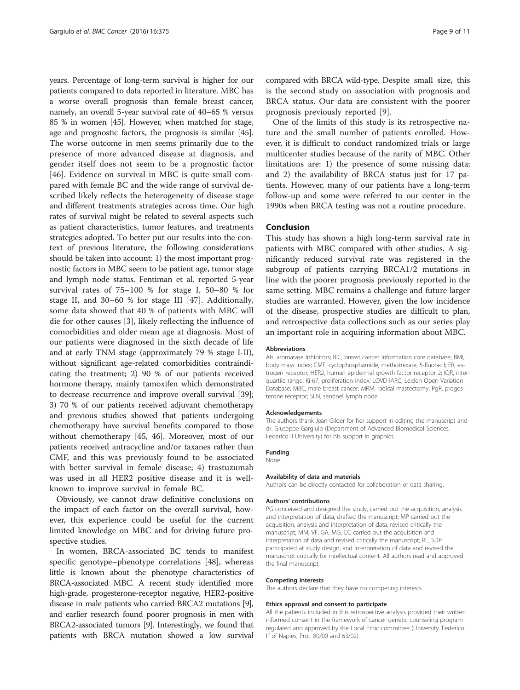years. Percentage of long-term survival is higher for our patients compared to data reported in literature. MBC has a worse overall prognosis than female breast cancer, namely, an overall 5-year survival rate of 40–65 % versus 85 % in women [\[45\]](#page-10-0). However, when matched for stage, age and prognostic factors, the prognosis is similar [[45](#page-10-0)]. The worse outcome in men seems primarily due to the presence of more advanced disease at diagnosis, and gender itself does not seem to be a prognostic factor [[46\]](#page-10-0). Evidence on survival in MBC is quite small compared with female BC and the wide range of survival described likely reflects the heterogeneity of disease stage and different treatments strategies across time. Our high rates of survival might be related to several aspects such as patient characteristics, tumor features, and treatments strategies adopted. To better put our results into the context of previous literature, the following considerations should be taken into account: 1) the most important prognostic factors in MBC seem to be patient age, tumor stage and lymph node status. Fentiman et al. reported 5-year survival rates of 75–100 % for stage I, 50–80 % for stage II, and 30–60 % for stage III [\[47](#page-10-0)]. Additionally, some data showed that 40 % of patients with MBC will die for other causes [[3\]](#page-9-0), likely reflecting the influence of comorbidities and older mean age at diagnosis. Most of our patients were diagnosed in the sixth decade of life and at early TNM stage (approximately 79 % stage I-II), without significant age-related comorbidities contraindicating the treatment; 2) 90 % of our patients received hormone therapy, mainly tamoxifen which demonstrated to decrease recurrence and improve overall survival [[39](#page-9-0)]; 3) 70 % of our patients received adjuvant chemotherapy and previous studies showed that patients undergoing chemotherapy have survival benefits compared to those without chemotherapy [\[45, 46\]](#page-10-0). Moreover, most of our patients received antracycline and/or taxanes rather than CMF, and this was previously found to be associated with better survival in female disease; 4) trastuzumab was used in all HER2 positive disease and it is wellknown to improve survival in female BC.

Obviously, we cannot draw definitive conclusions on the impact of each factor on the overall survival, however, this experience could be useful for the current limited knowledge on MBC and for driving future prospective studies.

In women, BRCA-associated BC tends to manifest specific genotype–phenotype correlations [[48\]](#page-10-0), whereas little is known about the phenotype characteristics of BRCA-associated MBC. A recent study identified more high-grade, progesterone-receptor negative, HER2-positive disease in male patients who carried BRCA2 mutations [[9](#page-9-0)], and earlier research found poorer prognosis in men with BRCA2-associated tumors [\[9\]](#page-9-0). Interestingly, we found that patients with BRCA mutation showed a low survival compared with BRCA wild-type. Despite small size, this is the second study on association with prognosis and BRCA status. Our data are consistent with the poorer prognosis previously reported [[9](#page-9-0)].

One of the limits of this study is its retrospective nature and the small number of patients enrolled. However, it is difficult to conduct randomized trials or large multicenter studies because of the rarity of MBC. Other limitations are: 1) the presence of some missing data; and 2) the availability of BRCA status just for 17 patients. However, many of our patients have a long-term follow-up and some were referred to our center in the 1990s when BRCA testing was not a routine procedure.

#### Conclusion

This study has shown a high long-term survival rate in patients with MBC compared with other studies. A significantly reduced survival rate was registered in the subgroup of patients carrying BRCA1/2 mutations in line with the poorer prognosis previously reported in the same setting. MBC remains a challenge and future larger studies are warranted. However, given the low incidence of the disease, prospective studies are difficult to plan, and retrospective data collections such as our series play an important role in acquiring information about MBC.

#### Abbreviations

AIs, aromatase inhibitors; BIC, breast cancer information core database; BMI, body mass index; CMF, cyclophosphamide, methotrexate, 5-fluoracil; ER, estrogen receptor; HER2, human epidermal growth factor receptor 2; IQR, interquartile range; Ki-67, proliferation index; LOVD-IARC, Leiden Open Variation Database; MBC, male breast cancer; MRM, radical mastectomy; PgR, progesterone receptor; SLN, sentinel lymph node

#### Acknowledgements

The authors thank Jean Gilder for her support in editing the manuscript and dr. Giuseppe Gargiulo (Department of Advanced Biomedical Sciences, Federico II University) for his support in graphics.

#### Funding

## None.

#### Availability of data and materials

Authors can be directly contacted for collaboration or data sharing.

#### Authors' contributions

PG conceived and designed the study, carried out the acquisition, analysis and interpretation of data, drafted the manuscript; MP carried out the acquisition, analysis and interpretation of data, revised critically the manuscript; MM, VF, GA, MG, CC carried out the acquisition and interpretation of data and revised critically the manuscript; RL, SDP participated at study design, and interpretation of data and revised the manuscript critically for intellectual content. All authors read and approved the final manuscript.

#### Competing interests

The authors declare that they have no competing interests.

#### Ethics approval and consent to participate

All the patients included in this retrospective analysis provided their written informed consent in the framework of cancer genetic counseling program regulated and approved by the Local Ethic committee (University 'Federico II' of Naples, Prot. 80/00 and 63/02).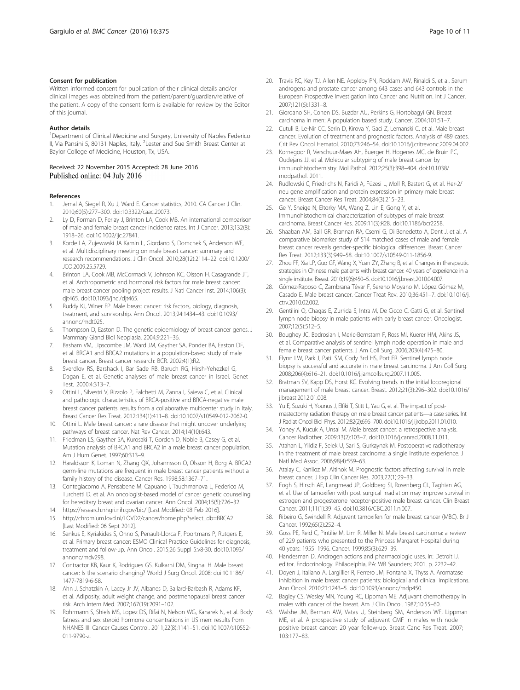#### <span id="page-9-0"></span>Consent for publication

Written informed consent for publication of their clinical details and/or clinical images was obtained from the patient/parent/guardian/relative of the patient. A copy of the consent form is available for review by the Editor of this journal.

#### Author details

<sup>1</sup>Department of Clinical Medicine and Surgery, University of Naples Federico II, Via Pansini 5, 80131 Naples, Italy. <sup>2</sup>Lester and Sue Smith Breast Center at Baylor College of Medicine, Houston, Tx, USA.

## Received: 22 November 2015 Accepted: 28 June 2016

#### References

- 1. Jemal A, Siegel R, Xu J, Ward E. Cancer statistics, 2010. CA Cancer J Clin. 2010;60(5):277–300. doi[:10.3322/caac.20073](http://dx.doi.org/10.3322/caac.20073).
- Ly D, Forman D, Ferlay J, Brinton LA, Cook MB. An international comparison of male and female breast cancer incidence rates. Int J Cancer. 2013;132(8): 1918–26. doi[:10.1002/ijc.27841.](http://dx.doi.org/10.1002/ijc.27841)
- 3. Korde LA, Zujewwski JA Kamin L, Giordano S, Domchek S, Anderson WF, et al. Multidisciplinary meeting on male breast cancer: summary and research recommendations. J Clin Oncol. 2010;28(12):2114–22. doi:[10.1200/](http://dx.doi.org/10.1200/JCO.2009.25.5729) [JCO.2009.25.5729.](http://dx.doi.org/10.1200/JCO.2009.25.5729)
- Brinton LA, Cook MB, McCormack V, Johnson KC, Olsson H, Casagrande JT, et al. Anthropometric and hormonal risk factors for male breast cancer: male breast cancer pooling project results. J Natl Cancer Inst. 2014;106(3): djt465. doi[:10.1093/jnci/djt465](http://dx.doi.org/10.1093/jnci/djt465).
- 5. Ruddy KJ, Winer EP. Male breast cancer: risk factors, biology, diagnosis, treatment, and survivorship. Ann Oncol. 2013;24:1434–43. doi:[10.1093/](http://dx.doi.org/10.1093/annonc/mdt025) [annonc/mdt025.](http://dx.doi.org/10.1093/annonc/mdt025)
- 6. Thompson D, Easton D. The genetic epidemiology of breast cancer genes. J Mammary Gland Biol Neoplasia. 2004;9:221–36.
- 7. Basham VM, Lipscombe JM, Ward JM, Gayther SA, Ponder BA, Easton DF, et al. BRCA1 and BRCA2 mutations in a population-based study of male breast cancer. Breast cancer research: BCR. 2002;4(1):R2.
- 8. Sverdlov RS, Barshack I, Bar Sade RB, Baruch RG, Hirsh-Yehezkel G, Dagan E, et al. Genetic analyses of male breast cancer in Israel. Genet Test. 2000;4:313–7.
- 9. Ottini L, Silvestri V, Rizzolo P, Falchetti M, Zanna I, Saieva C, et al. Clinical and pathologic characteristics of BRCA-positive and BRCA-negative male breast cancer patients: results from a collaborative multicenter study in Italy. Breast Cancer Res Treat. 2012;134(1):411–8. doi:[10.1007/s10549-012-2062-0](http://dx.doi.org/10.1007/s10549-012-2062-0).
- 10. Ottini L. Male breast cancer: a rare disease that might uncover underlying pathways of breast cancer. Nat Rev Cancer. 2014;14(10):643.
- 11. Friedman LS, Gayther SA, Kurosaki T, Gordon D, Noble B, Casey G, et al. Mutation analysis of BRCA1 and BRCA2 in a male breast cancer population. Am J Hum Genet. 1997;60:313–9.
- 12. Haraldsson K, Loman N, Zhang QX, Johannsson O, Olsson H, Borg A. BRCA2 germ-line mutations are frequent in male breast cancer patients without a family history of the disease. Cancer Res. 1998;58:1367–71.
- 13. Contegiacomo A, Pensabene M, Capuano I, Tauchmanova L, Federico M, Turchetti D, et al. An oncologist-based model of cancer genetic counseling for hereditary breast and ovarian cancer. Ann Oncol. 2004;15(5):726–32.
- 14.<https://research.nhgri.nih.gov/bic/> [Last Modified: 08 Feb 2016].
- 15. [http://chromium.lovd.nl/LOVD2/cancer/home.php?select\\_db=BRCA2](http://chromium.lovd.nl/LOVD2/cancer/home.php?select_db=BRCA2) [Last Modified: 06 Sept 2012].
- 16. Senkus E, Kyriakides S, Ohno S, Penault-Llorca F, Poortmans P, Rutgers E, et al. Primary breast cancer: ESMO Clinical Practice Guidelines for diagnosis, treatment and follow-up. Ann Oncol. 2015;26 Suppl 5:v8-30. doi[:10.1093/](http://dx.doi.org/10.1093/annonc/mdv298) [annonc/mdv298.](http://dx.doi.org/10.1093/annonc/mdv298)
- 17. Contractor KB, Kaur K, Rodrigues GS. Kulkarni DM, Singhal H. Male breast cancer: Is the scenario changing? World J Surg Oncol. 2008; doi:[10.1186/](http://dx.doi.org/10.1186/1477-7819-6-58) [1477-7819-6-58](http://dx.doi.org/10.1186/1477-7819-6-58).
- 18. Ahn J, Schatzkin A, Lacey Jr JV, Albanes D, Ballard-Barbash R, Adams KF, et al. Adiposity, adult weight change, and postmenopausal breast cancer risk. Arch Intern Med. 2007;167(19):2091–102.
- 19. Rohrmann S, Shiels MS, Lopez DS, Rifai N, Nelson WG, Kanarek N, et al. Body fatness and sex steroid hormone concentrations in US men: results from NHANES III. Cancer Causes Control. 2011;22(8):1141–51. doi[:10.1007/s10552-](http://dx.doi.org/10.1007/s10552-011-9790-z) [011-9790-z.](http://dx.doi.org/10.1007/s10552-011-9790-z)
- 20. Travis RC, Key TJ, Allen NE, Appleby PN, Roddam AW, Rinaldi S, et al. Serum androgens and prostate cancer among 643 cases and 643 controls in the European Prospective Investigation into Cancer and Nutrition. Int J Cancer. 2007;121(6):1331–8.
- 21. Giordano SH, Cohen DS, Buzdar AU, Perkins G, Hortobagyi GN. Breast carcinoma in men: A population based study. Cancer. 2004;101:51–7.
- 22. Cutuli B, Le-Nir CC, Serin D, Kirova Y, Gaci Z, Lemanski C, et al. Male breast cancer. Evolution of treatment and prognostic factors. Analysis of 489 cases. Crit Rev Oncol Hematol. 2010;73:246–54. doi:[10.1016/j.critrevonc.2009.04.002.](http://dx.doi.org/10.1016/j.critrevonc.2009.04.002)
- 23. Kornegoor R, Verschuur-Maes AH, Buerger H, Hogenes MC, de Bruin PC, Oudejans JJ, et al. Molecular subtyping of male breast cancer by immunohistochemistry. Mol Pathol. 2012;25(3):398–404. doi:[10.1038/](http://dx.doi.org/10.1038/modpathol) [modpathol](http://dx.doi.org/10.1038/modpathol). 2011.
- 24. Rudlowski C, Friedrichs N, Faridi A, Füzesi L, Moll R, Bastert G, et al. Her-2/ neu gene amplification and protein expression in primary male breast cancer. Breast Cancer Res Treat. 2004;84(3):215–23.
- 25. Ge Y, Sneige N, Eltorky MA, Wang Z, Lin E, Gong Y, et al. Immunohistochemical characterization of subtypes of male breast carcinoma. Breast Cancer Res. 2009;11(3):R28. doi[:10.1186/bcr2258](http://dx.doi.org/10.1186/bcr2258).
- 26. Shaaban AM, Ball GR, Brannan RA, Cserni G, Di Benedetto A, Dent J, et al. A comparative biomarker study of 514 matched cases of male and female breast cancer reveals gender-specific biological differences. Breast Cancer Res Treat. 2012;133(3):949–58. doi:[10.1007/s10549-011-1856-9.](http://dx.doi.org/10.1007/s10549-011-1856-9)
- 27. Zhou FF, Xia LP, Guo GF, Wang X, Yuan ZY, Zhang B, et al. Changes in therapeutic strategies in Chinese male patients with breast cancer: 40 years of experience in a single institute. Breast. 2010;19(6):450–5. doi[:10.1016/j.breast.2010.04.007.](http://dx.doi.org/10.1016/j.breast.2010.04.007)
- 28. Gómez-Raposo C, Zambrana Tévar F, Sereno Moyano M, López Gómez M, Casado E. Male breast cancer. Cancer Treat Rev. 2010;36:451–7. doi[:10.1016/j.](http://dx.doi.org/10.1016/j.ctrv.2010.02.002) [ctrv.2010.02.002.](http://dx.doi.org/10.1016/j.ctrv.2010.02.002)
- 29. Gentilini O, Chagas E, Zurrida S, Intra M, De Cicco C, Gatti G, et al. Sentinel lymph node biopsy in male patients with early breast cancer. Oncologist. 2007;12(5):512–5.
- 30. Boughey JC, Bedrosian I, Meric-Bernstam F, Ross MI, Kuerer HM, Akins JS, et al. Comparative analysis of sentinel lymph node operation in male and female breast cancer patients. J Am Coll Surg. 2006;203(4):475–80.
- 31. Flynn LW, Park J, Patil SM, Cody 3rd HS, Port ER. Sentinel lymph node biopsy is successful and accurate in male breast carcinoma. J Am Coll Surg. 2008;206(4):616–21. doi[:10.1016/j.jamcollsurg.2007.11.005.](http://dx.doi.org/10.1016/j.jamcollsurg.2007.11.005)
- 32. Bratman SV, Kapp DS, Horst KC. Evolving trends in the initial locoregional management of male breast cancer. Breast. 2012;21(3):296–302. doi[:10.1016/](http://dx.doi.org/10.1016/j.breast.2012.01.008) [j.breast.2012.01.008.](http://dx.doi.org/10.1016/j.breast.2012.01.008)
- 33. Yu E, Suzuki H, Younus J, Elfiki T, Stitt L, Yau G, et al. The impact of postmastectomy radiation therapy on male breast cancer patients—a case series. Int J Radiat Oncol Biol Phys. 2012;82(2):696–700. doi:[10.1016/j.ijrobp.2011.01.010](http://dx.doi.org/10.1016/j.ijrobp.2011.01.010).
- 34. Yoney A, Kucuk A, Unsal M. Male breast cancer: a retrospective analysis. Cancer Radiother. 2009;13(2):103–7. doi:[10.1016/j.canrad.2008.11.011](http://dx.doi.org/10.1016/j.canrad.2008.11.011).
- 35. Atahan L, Yildiz F, Selek U, Sari S, Gurkaynak M. Postoperative radiotherapy in the treatment of male breast carcinoma: a single institute experience. J Natl Med Assoc. 2006;98(4):559–63.
- 36. Atalay C, Kanlioz M, Altinok M. Prognostic factors affecting survival in male breast cancer. J Exp Clin Cancer Res. 2003;22(1):29–33.
- 37. Fogh S, Hirsch AE, Langmead JP, Goldberg SI, Rosenberg CL, Taghian AG, et al. Use of tamoxifen with post surgical irradiation may improve survival in estrogen and progesterone receptor-positive male breast cancer. Clin Breast Cancer. 2011;11(1):39–45. doi[:10.3816/CBC.2011.n.007](http://dx.doi.org/10.3816/CBC.2011.n.007).
- 38. Ribeiro G, Swindell R. Adjuvant tamoxifen for male breast cancer (MBC). Br J Cancer. 1992;65(2):252–4.
- 39. Goss PE, Reid C, Pintilie M, Lim R, Miller N. Male breast carcinoma: a review of 229 patients who presented to the Princess Margaret Hospital during 40 years: 1955–1996. Cancer. 1999;85(3):629–39.
- 40. Handesman D. Androgen actions and pharmacologic uses. In: Detroit IJ, editor. Endocrinology. Philadelphia, PA: WB Saunders; 2001. p. 2232–42.
- 41. Doyen J, Italiano A, Largillier R, Ferrero JM, Fontana X, Thyss A. Aromatase inhibition in male breast cancer patients: biological and clinical implications. Ann Oncol. 2010;21:1243–5. doi:[10.1093/annonc/mdp450.](http://dx.doi.org/10.1093/annonc/mdp450)
- 42. Bagley CS, Wesley MN, Young RC, Lippman ME. Adjuvant chemotherapy in males with cancer of the breast. Am J Clin Oncol. 1987;10:55–60.
- 43. Walshe JM, Berman AW, Vatas U, Steinberg SM, Anderson WF, Lippman ME, et al. A prospective study of adjuvant CMF in males with node positive breast cancer: 20 year follow-up. Breast Canc Res Treat. 2007; 103:177–83.